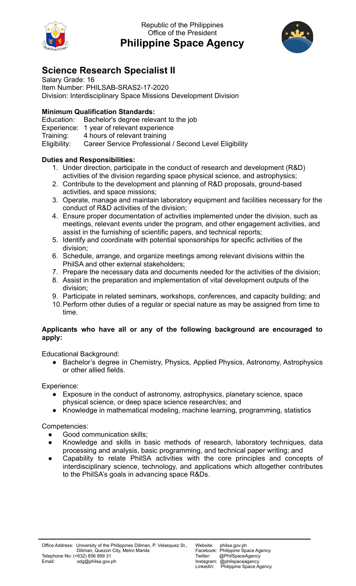

Republic of the Philippines Office of the President **Philippine Space Agency**



## **Science Research Specialist II**

Salary Grade: 16 Item Number: PHILSAB-SRAS2-17-2020 Division: Interdisciplinary Space Missions Development Division

## **Minimum Qualification Standards:**

Education: Bachelor's degree relevant to the job Experience: 1 year of relevant experience Training: 4 hours of relevant training

Eligibility: Career Service Professional / Second Level Eligibility

## **Duties and Responsibilities:**

- 1. Under direction, participate in the conduct of research and development (R&D) activities of the division regarding space physical science, and astrophysics;
- 2. Contribute to the development and planning of R&D proposals, ground-based activities, and space missions;
- 3. Operate, manage and maintain laboratory equipment and facilities necessary for the conduct of R&D activities of the division;
- 4. Ensure proper documentation of activities implemented under the division, such as meetings, relevant events under the program, and other engagement activities, and assist in the furnishing of scientific papers, and technical reports;
- 5. Identify and coordinate with potential sponsorships for specific activities of the division;
- 6. Schedule, arrange, and organize meetings among relevant divisions within the PhilSA and other external stakeholders;
- 7. Prepare the necessary data and documents needed for the activities of the division;
- 8. Assist in the preparation and implementation of vital development outputs of the division;
- 9. Participate in related seminars, workshops, conferences, and capacity building; and
- 10.Perform other duties of a regular or special nature as may be assigned from time to time.

## **Applicants who have all or any of the following background are encouraged to apply:**

Educational Background:

● Bachelor's degree in Chemistry, Physics, Applied Physics, Astronomy, Astrophysics or other allied fields.

Experience:

- Exposure in the conduct of astronomy, astrophysics, planetary science, space physical science, or deep space science research/es; and
- Knowledge in mathematical modeling, machine learning, programming, statistics

Competencies:

- Good communication skills;
- Knowledge and skills in basic methods of research, laboratory techniques, data processing and analysis, basic programming, and technical paper writing; and
- Capability to relate PhilSA activities with the core principles and concepts of interdisciplinary science, technology, and applications which altogether contributes to the PhilSA's goals in advancing space R&Ds.